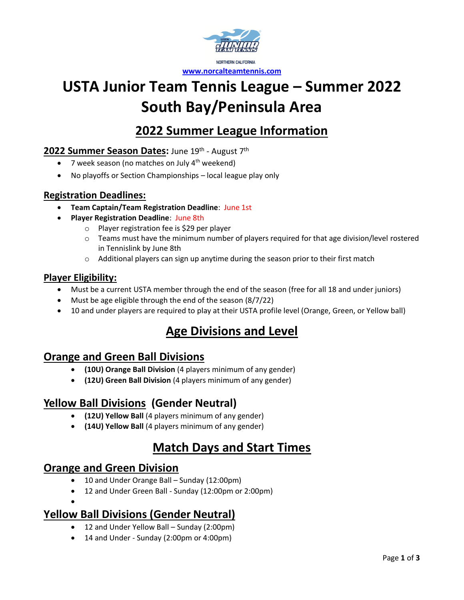

# **USTA Junior Team Tennis League – Summer 2022 South Bay/Peninsula Area**

### **2022 Summer League Information**

### 2022 Summer Season Dates: June 19<sup>th</sup> - August 7<sup>th</sup>

- 7 week season (no matches on July  $4^{th}$  weekend)
- No playoffs or Section Championships local league play only

#### **Registration Deadlines:**

- **Team Captain/Team Registration Deadline**: June 1st
- **Player Registration Deadline**: June 8th
	- o Player registration fee is \$29 per player
	- $\circ$  Teams must have the minimum number of players required for that age division/level rostered in Tennislink by June 8th
	- $\circ$  Additional players can sign up anytime during the season prior to their first match

#### **Player Eligibility:**

- Must be a current USTA member through the end of the season (free for all 18 and under juniors)
- Must be age eligible through the end of the season (8/7/22)
- 10 and under players are required to play at their USTA profile level (Orange, Green, or Yellow ball)

### **Age Divisions and Level**

### **Orange and Green Ball Divisions**

- **(10U) Orange Ball Division** (4 players minimum of any gender)
- **(12U) Green Ball Division** (4 players minimum of any gender)

### **Yellow Ball Divisions (Gender Neutral)**

- **(12U) Yellow Ball** (4 players minimum of any gender)
- **(14U) Yellow Ball** (4 players minimum of any gender)

### **Match Days and Start Times**

### **Orange and Green Division**

•

- 10 and Under Orange Ball Sunday (12:00pm)
- 12 and Under Green Ball Sunday (12:00pm or 2:00pm)

### **Yellow Ball Divisions (Gender Neutral)**

- 12 and Under Yellow Ball Sunday (2:00pm)
- 14 and Under Sunday (2:00pm or 4:00pm)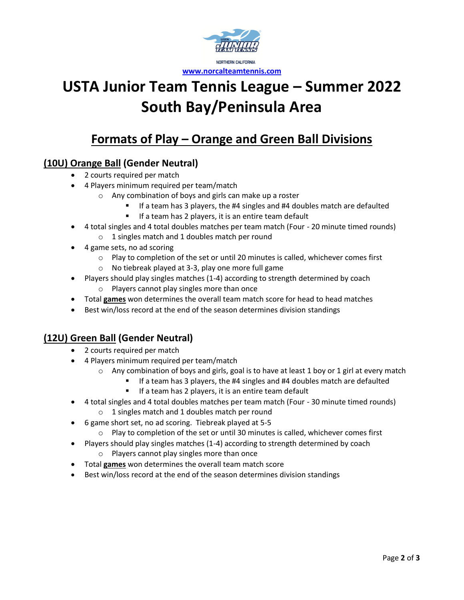

# **USTA Junior Team Tennis League – Summer 2022 South Bay/Peninsula Area**

### **Formats of Play – Orange and Green Ball Divisions**

### **(10U) Orange Ball (Gender Neutral)**

- 2 courts required per match
- 4 Players minimum required per team/match
	- o Any combination of boys and girls can make up a roster
		- If a team has 3 players, the #4 singles and #4 doubles match are defaulted
		- If a team has 2 players, it is an entire team default
- 4 total singles and 4 total doubles matches per team match (Four 20 minute timed rounds) o 1 singles match and 1 doubles match per round
- 4 game sets, no ad scoring
	- $\circ$  Play to completion of the set or until 20 minutes is called, whichever comes first
	- o No tiebreak played at 3-3, play one more full game
- Players should play singles matches (1-4) according to strength determined by coach o Players cannot play singles more than once
- Total **games** won determines the overall team match score for head to head matches
- Best win/loss record at the end of the season determines division standings

### **(12U) Green Ball (Gender Neutral)**

- 2 courts required per match
- 4 Players minimum required per team/match
	- $\circ$  Any combination of boys and girls, goal is to have at least 1 boy or 1 girl at every match
		- If a team has 3 players, the #4 singles and #4 doubles match are defaulted
		- If a team has 2 players, it is an entire team default
- 4 total singles and 4 total doubles matches per team match (Four 30 minute timed rounds)
	- o 1 singles match and 1 doubles match per round
- 6 game short set, no ad scoring. Tiebreak played at 5-5
	- o Play to completion of the set or until 30 minutes is called, whichever comes first
- Players should play singles matches (1-4) according to strength determined by coach
	- o Players cannot play singles more than once
- Total **games** won determines the overall team match score
- Best win/loss record at the end of the season determines division standings